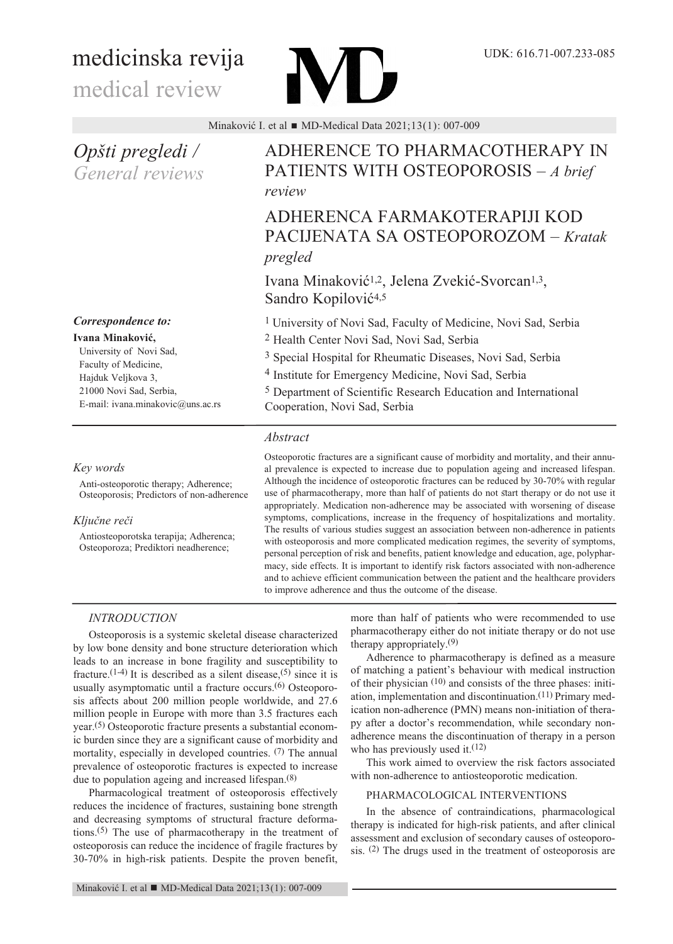# medicinska revija

medical review

Minaković I. et al  $\blacksquare$  MD-Medical Data 2021;13(1): 007-009

*Opšti pregledi / General reviews*

# *Correspondence to:*

**Ivana Minaković,**

University of Novi Sad, Faculty of Medicine, Hajduk Veljkova 3, 21000 Novi Sad, Serbia, E-mail: ivana.minakovic@uns.ac.rs

# *Key words*

Anti-osteoporotic therapy; Adherence; Osteoporosis; Predictors of non-adherence

# *Ključne reči*

Antiosteoporotska terapija; Adherenca; Osteoporoza; Prediktori neadherence;

# ADHERENCE TO PHARMACOTHERAPy IN PATIENTS wITH OSTEOPOROSIS – *A brief review*

# ADHERENCA FARMAKOTERAPIjI KOD PACIjENATA SA OSTEOPOROzOM – *Kratak pregled*

Ivana Minaković1,2, jelena zvekić-Svorcan1,3, Sandro Kopilović<sup>4,5</sup>

1 University of Novi Sad, Faculty of Medicine, Novi Sad, Serbia

2 Health Center Novi Sad, Novi Sad, Serbia

3 Special Hospital for Rheumatic Diseases, Novi Sad, Serbia

4 Institute for Emergency Medicine, Novi Sad, Serbia

5 Department of Scientific Research Education and International Cooperation, Novi Sad, Serbia

# *Abstract*

Osteoporotic fractures are a significant cause of morbidity and mortality, and their annual prevalence is expected to increase due to population ageing and increased lifespan. Although the incidence of osteoporotic fractures can be reduced by 30-70% with regular use of pharmacotherapy, more than half of patients do not start therapy or do not use it appropriately. Medication non-adherence may be associated with worsening of disease symptoms, complications, increase in the frequency of hospitalizations and mortality. The results of various studies suggest an association between non-adherence in patients with osteoporosis and more complicated medication regimes, the severity of symptoms, personal perception of risk and benefits, patient knowledge and education, age, polypharmacy, side effects. It is important to identify risk factors associated with non-adherence and to achieve efficient communication between the patient and the healthcare providers to improve adherence and thus the outcome of the disease.

# *INTRODUCTION*

Osteoporosis is a systemic skeletal disease characterized by low bone density and bone structure deterioration which leads to an increase in bone fragility and susceptibility to fracture.<sup>(1-4)</sup> It is described as a silent disease,<sup>(5)</sup> since it is usually asymptomatic until a fracture occurs.<sup>(6)</sup> Osteoporosis affects about 200 million people worldwide, and 27.6 million people in Europe with more than 3.5 fractures each year. (5) Osteoporotic fracture presents a substantial economic burden since they are a significant cause of morbidity and mortality, especially in developed countries. (7) The annual prevalence of osteoporotic fractures is expected to increase due to population ageing and increased lifespan.<sup>(8)</sup>

Pharmacological treatment of osteoporosis effectively reduces the incidence of fractures, sustaining bone strength and decreasing symptoms of structural fracture deformations. (5) The use of pharmacotherapy in the treatment of osteoporosis can reduce the incidence of fragile fractures by 30-70% in high-risk patients. Despite the proven benefit,

more than half of patients who were recommended to use pharmacotherapy either do not initiate therapy or do not use therapy appropriately. (9)

Adherence to pharmacotherapy is defined as a measure of matching a patient's behaviour with medical instruction of their physician (10) and consists of the three phases: initiation, implementation and discontinuation.<sup>(11)</sup> Primary medication non-adherence (PMN) means non-initiation of therapy after a doctor's recommendation, while secondary nonadherence means the discontinuation of therapy in a person who has previously used it.<sup>(12)</sup>

This work aimed to overview the risk factors associated with non-adherence to antiosteoporotic medication.

# PHARMACOLOGICAL INTERVENTIONS

In the absence of contraindications, pharmacological therapy is indicated for high-risk patients, and after clinical assessment and exclusion of secondary causes of osteoporosis. (2) The drugs used in the treatment of osteoporosis are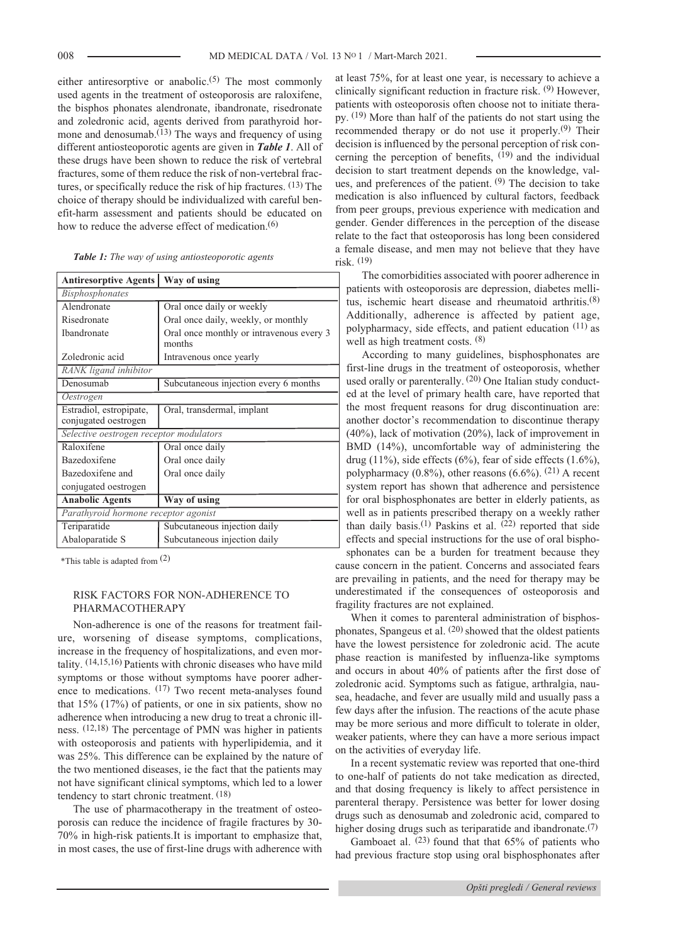either antiresorptive or anabolic.<sup>(5)</sup> The most commonly used agents in the treatment of osteoporosis are raloxifene, the bisphos phonates alendronate, ibandronate, risedronate and zoledronic acid, agents derived from parathyroid hormone and denosumab.<sup>(13)</sup> The ways and frequency of using different antiosteoporotic agents are given in *Table 1*. All of these drugs have been shown to reduce the risk of vertebral fractures, some of them reduce the risk of non-vertebral fractures, or specifically reduce the risk of hip fractures. (13) The choice of therapy should be individualized with careful benefit-harm assessment and patients should be educated on how to reduce the adverse effect of medication.<sup>(6)</sup>

|  |  |  |  |  | Table 1: The way of using antiosteoporotic agents |  |  |
|--|--|--|--|--|---------------------------------------------------|--|--|
|--|--|--|--|--|---------------------------------------------------|--|--|

| Antiresorptive Agents   Way of using            |                                                    |  |  |  |  |
|-------------------------------------------------|----------------------------------------------------|--|--|--|--|
| <i>Bisphosphonates</i>                          |                                                    |  |  |  |  |
| Alendronate                                     | Oral once daily or weekly                          |  |  |  |  |
| Risedronate                                     | Oral once daily, weekly, or monthly                |  |  |  |  |
| <b>Ibandronate</b>                              | Oral once monthly or intravenous every 3<br>months |  |  |  |  |
| Zoledronic acid                                 | Intravenous once yearly                            |  |  |  |  |
| RANK ligand inhibitor                           |                                                    |  |  |  |  |
| Denosumab                                       | Subcutaneous injection every 6 months              |  |  |  |  |
| Oestrogen                                       |                                                    |  |  |  |  |
| Estradiol, estropipate,<br>conjugated oestrogen | Oral, transdermal, implant                         |  |  |  |  |
| Selective oestrogen receptor modulators         |                                                    |  |  |  |  |
| Raloxifene                                      | Oral once daily                                    |  |  |  |  |
| Bazedoxifene                                    | Oral once daily                                    |  |  |  |  |
| Bazedoxifene and                                | Oral once daily                                    |  |  |  |  |
| conjugated oestrogen                            |                                                    |  |  |  |  |
| <b>Anabolic Agents</b>                          | Way of using                                       |  |  |  |  |
| Parathyroid hormone receptor agonist            |                                                    |  |  |  |  |
| Teriparatide                                    | Subcutaneous injection daily                       |  |  |  |  |
| Abaloparatide S                                 | Subcutaneous injection daily                       |  |  |  |  |

\*This table is adapted from  $(2)$ 

# RISK FACTORS FOR NON-ADHERENCE TO PHARMACOTHERAPy

Non-adherence is one of the reasons for treatment failure, worsening of disease symptoms, complications, increase in the frequency of hospitalizations, and even mortality. (14,15,16) Patients with chronic diseases who have mild symptoms or those without symptoms have poorer adherence to medications. <sup>(17)</sup> Two recent meta-analyses found that 15% (17%) of patients, or one in six patients, show no adherence when introducing a new drug to treat a chronic illness. (12,18) The percentage of PMN was higher in patients with osteoporosis and patients with hyperlipidemia, and it was 25%. This difference can be explained by the nature of the two mentioned diseases, ie the fact that the patients may not have significant clinical symptoms, which led to a lower tendency to start chronic treatment. (18)

The use of pharmacotherapy in the treatment of osteoporosis can reduce the incidence of fragile fractures by 30- 70% in high-risk patients.It is important to emphasize that, in most cases, the use of first-line drugs with adherence with at least 75%, for at least one year, is necessary to achieve a clinically significant reduction in fracture risk.  $(9)$  However, patients with osteoporosis often choose not to initiate therapy. (19) More than half of the patients do not start using the recommended therapy or do not use it properly.<sup>(9)</sup> Their decision is influenced by the personal perception of risk concerning the perception of benefits,  $(19)$  and the individual decision to start treatment depends on the knowledge, values, and preferences of the patient. (9) The decision to take medication is also influenced by cultural factors, feedback from peer groups, previous experience with medication and gender. Gender differences in the perception of the disease relate to the fact that osteoporosis has long been considered a female disease, and men may not believe that they have risk. (19)

The comorbidities associated with poorer adherence in patients with osteoporosis are depression, diabetes mellitus, ischemic heart disease and rheumatoid arthritis.<sup>(8)</sup> Additionally, adherence is affected by patient age, polypharmacy, side effects, and patient education (11) as well as high treatment costs.  $(8)$ 

According to many guidelines, bisphosphonates are first-line drugs in the treatment of osteoporosis, whether used orally or parenterally. <sup>(20)</sup> One Italian study conducted at the level of primary health care, have reported that the most frequent reasons for drug discontinuation are: another doctor's recommendation to discontinue therapy (40%), lack of motivation (20%), lack of improvement in BMD (14%), uncomfortable way of administering the drug  $(11\%)$ , side effects  $(6\%)$ , fear of side effects  $(1.6\%)$ , polypharmacy  $(0.8\%)$ , other reasons  $(6.6\%)$ . <sup>(21)</sup> A recent system report has shown that adherence and persistence for oral bisphosphonates are better in elderly patients, as well as in patients prescribed therapy on a weekly rather than daily basis.<sup>(1)</sup> Paskins et al.  $(22)$  reported that side effects and special instructions for the use of oral bispho-

sphonates can be a burden for treatment because they cause concern in the patient. Concerns and associated fears are prevailing in patients, and the need for therapy may be underestimated if the consequences of osteoporosis and fragility fractures are not explained.

when it comes to parenteral administration of bisphosphonates, Spangeus et al. (20) showed that the oldest patients have the lowest persistence for zoledronic acid. The acute phase reaction is manifested by influenza-like symptoms and occurs in about 40% of patients after the first dose of zoledronic acid. Symptoms such as fatigue, arthralgia, nausea, headache, and fever are usually mild and usually pass a few days after the infusion. The reactions of the acute phase may be more serious and more difficult to tolerate in older, weaker patients, where they can have a more serious impact on the activities of everyday life.

In a recent systematic review was reported that one-third to one-half of patients do not take medication as directed, and that dosing frequency is likely to affect persistence in parenteral therapy. Persistence was better for lower dosing drugs such as denosumab and zoledronic acid, compared to higher dosing drugs such as teriparatide and ibandronate.<sup>(7)</sup>

Gamboaet al.  $(23)$  found that that 65% of patients who had previous fracture stop using oral bisphosphonates after